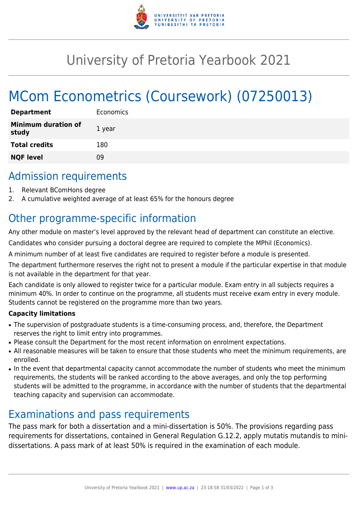

# University of Pretoria Yearbook 2021

# MCom Econometrics (Coursework) (07250013)

| <b>Department</b>                   | Economics |
|-------------------------------------|-----------|
| <b>Minimum duration of</b><br>study | 1 year    |
| <b>Total credits</b>                | 180       |
| <b>NQF level</b>                    | ΩÓ        |

### Admission requirements

- 1. Relevant BComHons degree
- 2. A cumulative weighted average of at least 65% for the honours degree

## Other programme-specific information

Any other module on master's level approved by the relevant head of department can constitute an elective.

Candidates who consider pursuing a doctoral degree are required to complete the MPhil (Economics).

A minimum number of at least five candidates are required to register before a module is presented.

The department furthermore reserves the right not to present a module if the particular expertise in that module is not available in the department for that year.

Each candidate is only allowed to register twice for a particular module. Exam entry in all subjects requires a minimum 40%. In order to continue on the programme, all students must receive exam entry in every module. Students cannot be registered on the programme more than two years.

#### **Capacity limitations**

- The supervision of postgraduate students is a time-consuming process, and, therefore, the Department reserves the right to limit entry into programmes.
- Please consult the Department for the most recent information on enrolment expectations.
- All reasonable measures will be taken to ensure that those students who meet the minimum requirements, are enrolled.
- In the event that departmental capacity cannot accommodate the number of students who meet the minimum requirements, the students will be ranked according to the above averages, and only the top performing students will be admitted to the programme, in accordance with the number of students that the departmental teaching capacity and supervision can accommodate.

### Examinations and pass requirements

The pass mark for both a dissertation and a mini-dissertation is 50%. The provisions regarding pass requirements for dissertations, contained in General Regulation G.12.2, apply mutatis mutandis to minidissertations. A pass mark of at least 50% is required in the examination of each module.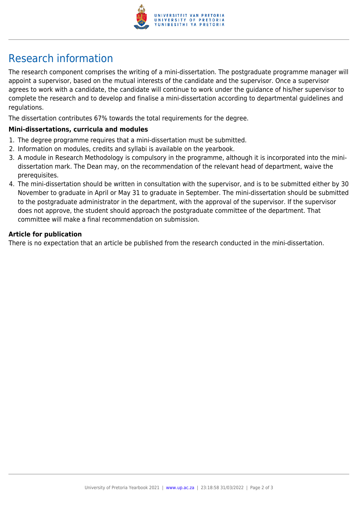

## Research information

The research component comprises the writing of a mini-dissertation. The postgraduate programme manager will appoint a supervisor, based on the mutual interests of the candidate and the supervisor. Once a supervisor agrees to work with a candidate, the candidate will continue to work under the guidance of his/her supervisor to complete the research and to develop and finalise a mini-dissertation according to departmental guidelines and regulations.

The dissertation contributes 67% towards the total requirements for the degree.

#### **Mini-dissertations, curricula and modules**

- 1. The degree programme requires that a mini-dissertation must be submitted.
- 2. Information on modules, credits and syllabi is available on the yearbook.
- 3. A module in Research Methodology is compulsory in the programme, although it is incorporated into the minidissertation mark. The Dean may, on the recommendation of the relevant head of department, waive the prerequisites.
- 4. The mini-dissertation should be written in consultation with the supervisor, and is to be submitted either by 30 November to graduate in April or May 31 to graduate in September. The mini-dissertation should be submitted to the postgraduate administrator in the department, with the approval of the supervisor. If the supervisor does not approve, the student should approach the postgraduate committee of the department. That committee will make a final recommendation on submission.

#### **Article for publication**

There is no expectation that an article be published from the research conducted in the mini-dissertation.